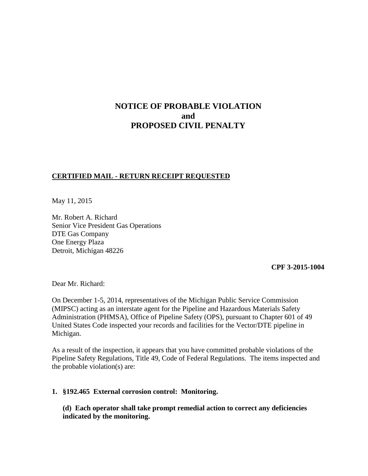# **NOTICE OF PROBABLE VIOLATION and PROPOSED CIVIL PENALTY**

# **CERTIFIED MAIL - RETURN RECEIPT REQUESTED**

May 11, 2015

Mr. Robert A. Richard Senior Vice President Gas Operations DTE Gas Company One Energy Plaza Detroit, Michigan 48226

**CPF 3-2015-1004** 

Dear Mr. Richard:

On December 1-5, 2014, representatives of the Michigan Public Service Commission (MIPSC) acting as an interstate agent for the Pipeline and Hazardous Materials Safety Administration (PHMSA), Office of Pipeline Safety (OPS), pursuant to Chapter 601 of 49 United States Code inspected your records and facilities for the Vector/DTE pipeline in Michigan.

As a result of the inspection, it appears that you have committed probable violations of the Pipeline Safety Regulations, Title 49, Code of Federal Regulations. The items inspected and the probable violation(s) are:

### **1. §192.465 External corrosion control: Monitoring.**

**(d) Each operator shall take prompt remedial action to correct any deficiencies indicated by the monitoring.**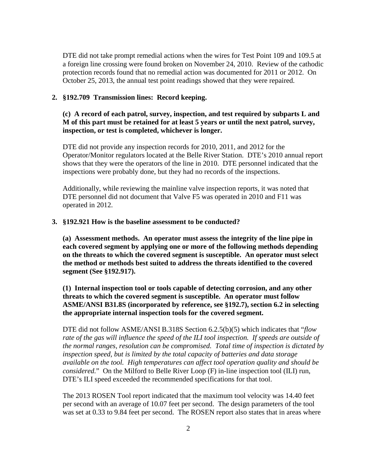DTE did not take prompt remedial actions when the wires for Test Point 109 and 109.5 at a foreign line crossing were found broken on November 24, 2010. Review of the cathodic protection records found that no remedial action was documented for 2011 or 2012. On October 25, 2013, the annual test point readings showed that they were repaired.

### **2. §192.709 Transmission lines: Record keeping.**

## **(c) A record of each patrol, survey, inspection, and test required by subparts L and M of this part must be retained for at least 5 years or until the next patrol, survey, inspection, or test is completed, whichever is longer.**

DTE did not provide any inspection records for 2010, 2011, and 2012 for the Operator/Monitor regulators located at the Belle River Station. DTE's 2010 annual report shows that they were the operators of the line in 2010. DTE personnel indicated that the inspections were probably done, but they had no records of the inspections.

Additionally, while reviewing the mainline valve inspection reports, it was noted that DTE personnel did not document that Valve F5 was operated in 2010 and F11 was operated in 2012.

### **3. §192.921 How is the baseline assessment to be conducted?**

**(a) Assessment methods. An operator must assess the integrity of the line pipe in each covered segment by applying one or more of the following methods depending on the threats to which the covered segment is susceptible. An operator must select the method or methods best suited to address the threats identified to the covered segment (See §192.917).** 

**(1) Internal inspection tool or tools capable of detecting corrosion, and any other threats to which the covered segment is susceptible. An operator must follow ASME/ANSI B31.8S (incorporated by reference, see §192.7), section 6.2 in selecting the appropriate internal inspection tools for the covered segment.**

DTE did not follow ASME/ANSI B.318S Section 6.2.5(b)(5) which indicates that "*flow rate of the gas will influence the speed of the ILI tool inspection. If speeds are outside of the normal ranges, resolution can be compromised. Total time of inspection is dictated by inspection speed, but is limited by the total capacity of batteries and data storage available on the tool. High temperatures can affect tool operation quality and should be considered.*" On the Milford to Belle River Loop (F) in-line inspection tool (ILI) run, DTE's ILI speed exceeded the recommended specifications for that tool.

The 2013 ROSEN Tool report indicated that the maximum tool velocity was 14.40 feet per second with an average of 10.07 feet per second. The design parameters of the tool was set at 0.33 to 9.84 feet per second. The ROSEN report also states that in areas where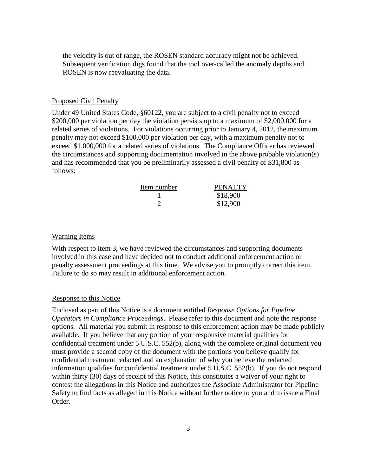the velocity is out of range, the ROSEN standard accuracy might not be achieved. Subsequent verification digs found that the tool over-called the anomaly depths and ROSEN is now reevaluating the data.

#### Proposed Civil Penalty

Under 49 United States Code, §60122, you are subject to a civil penalty not to exceed \$200,000 per violation per day the violation persists up to a maximum of \$2,000,000 for a related series of violations. For violations occurring prior to January 4, 2012, the maximum penalty may not exceed \$100,000 per violation per day, with a maximum penalty not to exceed \$1,000,000 for a related series of violations. The Compliance Officer has reviewed the circumstances and supporting documentation involved in the above probable violation(s) and has recommended that you be preliminarily assessed a civil penalty of \$31,800 as follows:

| <b>PENALTY</b> |
|----------------|
| \$18,900       |
| \$12,900       |
|                |

#### Warning Items

With respect to item 3, we have reviewed the circumstances and supporting documents involved in this case and have decided not to conduct additional enforcement action or penalty assessment proceedings at this time. We advise you to promptly correct this item. Failure to do so may result in additional enforcement action.

#### Response to this Notice

Enclosed as part of this Notice is a document entitled *Response Options for Pipeline Operators in Compliance Proceedings*. Please refer to this document and note the response options. All material you submit in response to this enforcement action may be made publicly available. If you believe that any portion of your responsive material qualifies for confidential treatment under 5 U.S.C. 552(b), along with the complete original document you must provide a second copy of the document with the portions you believe qualify for confidential treatment redacted and an explanation of why you believe the redacted information qualifies for confidential treatment under 5 U.S.C. 552(b). If you do not respond within thirty (30) days of receipt of this Notice, this constitutes a waiver of your right to contest the allegations in this Notice and authorizes the Associate Administrator for Pipeline Safety to find facts as alleged in this Notice without further notice to you and to issue a Final Order.